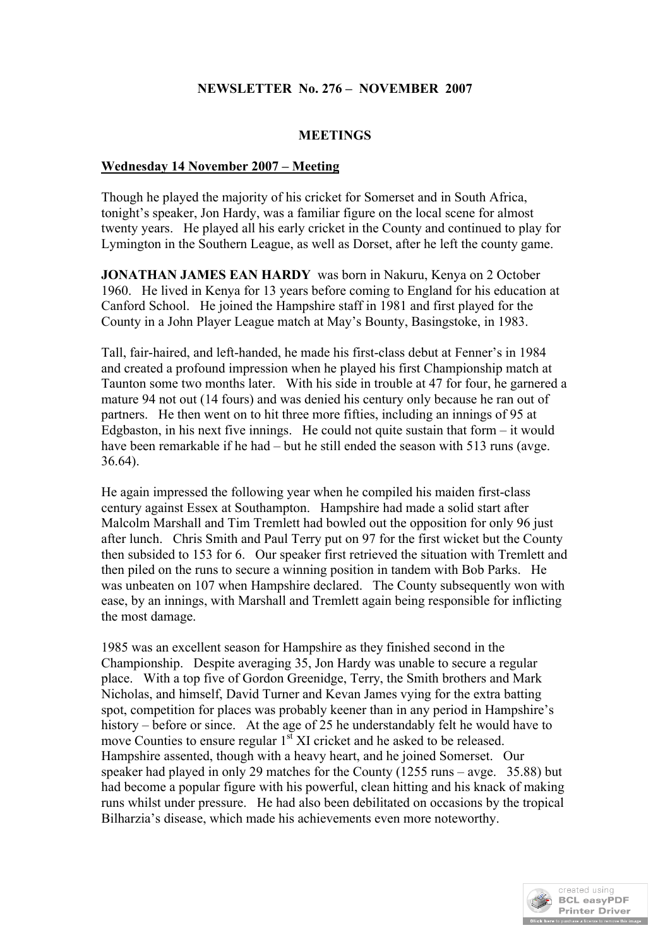# **NEWSLETTER No. 276 – NOVEMBER 2007**

#### **MEETINGS**

#### **Wednesday 14 November 2007 – Meeting**

Though he played the majority of his cricket for Somerset and in South Africa, tonight's speaker, Jon Hardy, was a familiar figure on the local scene for almost twenty years. He played all his early cricket in the County and continued to play for Lymington in the Southern League, as well as Dorset, after he left the county game.

**JONATHAN JAMES EAN HARDY** was born in Nakuru, Kenya on 2 October 1960. He lived in Kenya for 13 years before coming to England for his education at Canford School. He joined the Hampshire staff in 1981 and first played for the County in a John Player League match at May's Bounty, Basingstoke, in 1983.

Tall, fair-haired, and left-handed, he made his first-class debut at Fenner's in 1984 and created a profound impression when he played his first Championship match at Taunton some two months later. With his side in trouble at 47 for four, he garnered a mature 94 not out (14 fours) and was denied his century only because he ran out of partners. He then went on to hit three more fifties, including an innings of 95 at Edgbaston, in his next five innings. He could not quite sustain that form  $-$  it would have been remarkable if he had – but he still ended the season with 513 runs (avge. 36.64).

He again impressed the following year when he compiled his maiden first-class century against Essex at Southampton. Hampshire had made a solid start after Malcolm Marshall and Tim Tremlett had bowled out the opposition for only 96 just after lunch. Chris Smith and Paul Terry put on 97 for the first wicket but the County then subsided to 153 for 6. Our speaker first retrieved the situation with Tremlett and then piled on the runs to secure a winning position in tandem with Bob Parks. He was unbeaten on 107 when Hampshire declared. The County subsequently won with ease, by an innings, with Marshall and Tremlett again being responsible for inflicting the most damage.

1985 was an excellent season for Hampshire as they finished second in the Championship. Despite averaging 35, Jon Hardy was unable to secure a regular place. With a top five of Gordon Greenidge, Terry, the Smith brothers and Mark Nicholas, and himself, David Turner and Kevan James vying for the extra batting spot, competition for places was probably keener than in any period in Hampshire's history – before or since. At the age of 25 he understandably felt he would have to move Counties to ensure regular 1<sup>st</sup> XI cricket and he asked to be released. Hampshire assented, though with a heavy heart, and he joined Somerset. Our speaker had played in only 29 matches for the County (1255 runs – avge. 35.88) but had become a popular figure with his powerful, clean hitting and his knack of making runs whilst under pressure. He had also been debilitated on occasions by the tropical Bilharzia's disease, which made his achievements even more noteworthy.

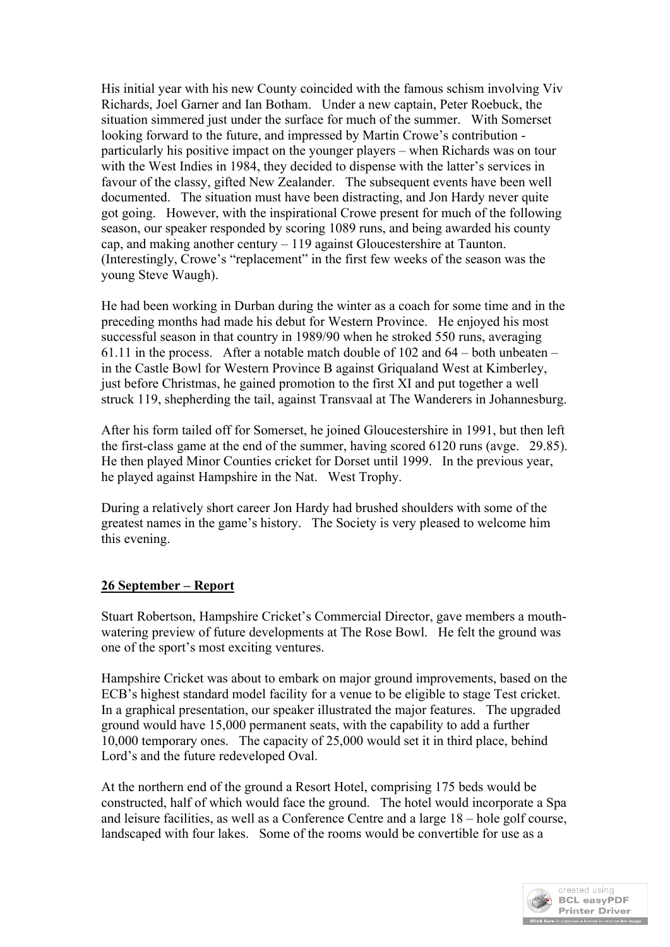His initial year with his new County coincided with the famous schism involving Viv Richards, Joel Garner and Ian Botham. Under a new captain, Peter Roebuck, the situation simmered just under the surface for much of the summer. With Somerset looking forward to the future, and impressed by Martin Crowe's contribution particularly his positive impact on the younger players – when Richards was on tour with the West Indies in 1984, they decided to dispense with the latter's services in favour of the classy, gifted New Zealander. The subsequent events have been well documented. The situation must have been distracting, and Jon Hardy never quite got going. However, with the inspirational Crowe present for much of the following season, our speaker responded by scoring 1089 runs, and being awarded his county cap, and making another century – 119 against Gloucestershire at Taunton. (Interestingly, Crowe's "replacement" in the first few weeks of the season was the young Steve Waugh).

He had been working in Durban during the winter as a coach for some time and in the preceding months had made his debut for Western Province. He enjoyed his most successful season in that country in 1989/90 when he stroked 550 runs, averaging 61.11 in the process. After a notable match double of 102 and 64 – both unbeaten – in the Castle Bowl for Western Province B against Griqualand West at Kimberley, just before Christmas, he gained promotion to the first XI and put together a well struck 119, shepherding the tail, against Transvaal at The Wanderers in Johannesburg.

After his form tailed off for Somerset, he joined Gloucestershire in 1991, but then left the first-class game at the end of the summer, having scored 6120 runs (avge. 29.85). He then played Minor Counties cricket for Dorset until 1999. In the previous year, he played against Hampshire in the Nat. West Trophy.

During a relatively short career Jon Hardy had brushed shoulders with some of the greatest names in the game's history. The Society is very pleased to welcome him this evening.

# **26 September – Report**

Stuart Robertson, Hampshire Cricket's Commercial Director, gave members a mouthwatering preview of future developments at The Rose Bowl. He felt the ground was one of the sport's most exciting ventures.

Hampshire Cricket was about to embark on major ground improvements, based on the ECB's highest standard model facility for a venue to be eligible to stage Test cricket. In a graphical presentation, our speaker illustrated the major features. The upgraded ground would have 15,000 permanent seats, with the capability to add a further 10,000 temporary ones. The capacity of 25,000 would set it in third place, behind Lord's and the future redeveloped Oval.

At the northern end of the ground a Resort Hotel, comprising 175 beds would be constructed, half of which would face the ground. The hotel would incorporate a Spa and leisure facilities, as well as a Conference Centre and a large 18 – hole golf course, landscaped with four lakes. Some of the rooms would be convertible for use as a

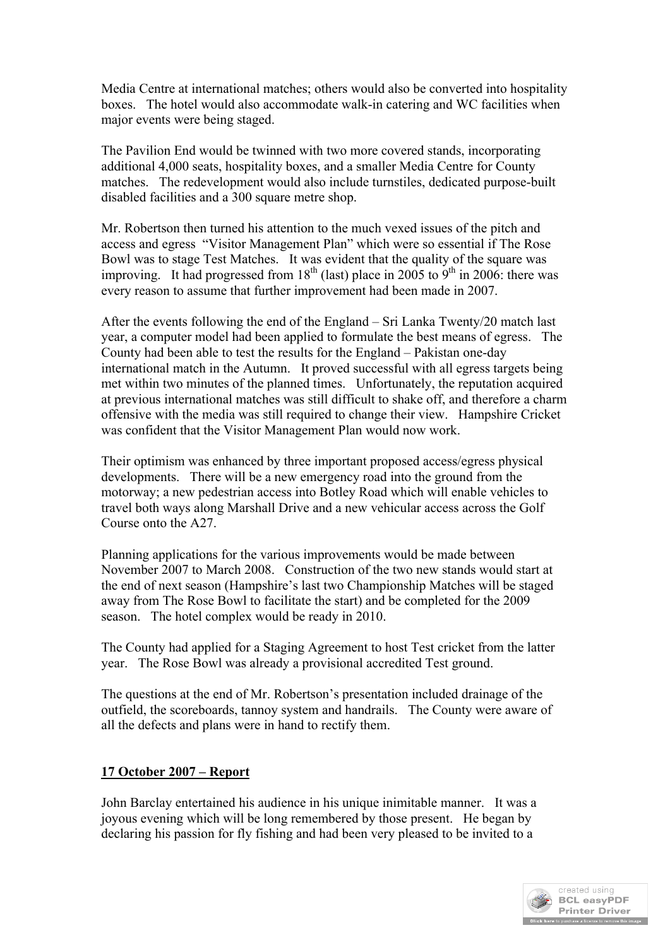Media Centre at international matches; others would also be converted into hospitality boxes. The hotel would also accommodate walk-in catering and WC facilities when major events were being staged.

The Pavilion End would be twinned with two more covered stands, incorporating additional 4,000 seats, hospitality boxes, and a smaller Media Centre for County matches. The redevelopment would also include turnstiles, dedicated purpose-built disabled facilities and a 300 square metre shop.

Mr. Robertson then turned his attention to the much vexed issues of the pitch and access and egress "Visitor Management Plan" which were so essential if The Rose Bowl was to stage Test Matches. It was evident that the quality of the square was improving. It had progressed from  $18<sup>th</sup>$  (last) place in 2005 to  $9<sup>th</sup>$  in 2006: there was every reason to assume that further improvement had been made in 2007.

After the events following the end of the England – Sri Lanka Twenty/20 match last year, a computer model had been applied to formulate the best means of egress. The County had been able to test the results for the England – Pakistan one-day international match in the Autumn. It proved successful with all egress targets being met within two minutes of the planned times. Unfortunately, the reputation acquired at previous international matches was still difficult to shake off, and therefore a charm offensive with the media was still required to change their view. Hampshire Cricket was confident that the Visitor Management Plan would now work.

Their optimism was enhanced by three important proposed access/egress physical developments. There will be a new emergency road into the ground from the motorway; a new pedestrian access into Botley Road which will enable vehicles to travel both ways along Marshall Drive and a new vehicular access across the Golf Course onto the A27.

Planning applications for the various improvements would be made between November 2007 to March 2008. Construction of the two new stands would start at the end of next season (Hampshire's last two Championship Matches will be staged away from The Rose Bowl to facilitate the start) and be completed for the 2009 season. The hotel complex would be ready in 2010.

The County had applied for a Staging Agreement to host Test cricket from the latter year. The Rose Bowl was already a provisional accredited Test ground.

The questions at the end of Mr. Robertson's presentation included drainage of the outfield, the scoreboards, tannoy system and handrails. The County were aware of all the defects and plans were in hand to rectify them.

# **17 October 2007 – Report**

John Barclay entertained his audience in his unique inimitable manner. It was a joyous evening which will be long remembered by those present. He began by declaring his passion for fly fishing and had been very pleased to be invited to a